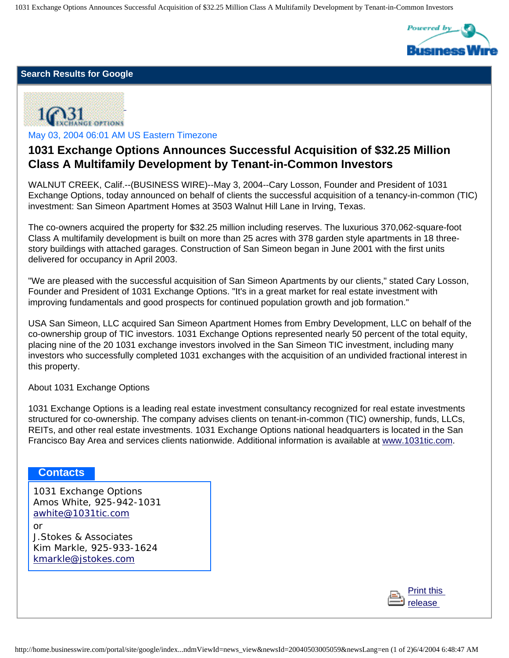1031 Exchange Options Announces Successful Acquisition of \$32.25 Million Class A Multifamily Development by Tenant-in-Common Investors



## **Search Results for Google**



May 03, 2004 06:01 AM US Eastern Timezone

## **1031 Exchange Options Announces Successful Acquisition of \$32.25 Million Class A Multifamily Development by Tenant-in-Common Investors**

WALNUT CREEK, Calif.--(BUSINESS WIRE)--May 3, 2004--Cary Losson, Founder and President of 1031 Exchange Options, today announced on behalf of clients the successful acquisition of a tenancy-in-common (TIC) investment: San Simeon Apartment Homes at 3503 Walnut Hill Lane in Irving, Texas.

The co-owners acquired the property for \$32.25 million including reserves. The luxurious 370,062-square-foot Class A multifamily development is built on more than 25 acres with 378 garden style apartments in 18 threestory buildings with attached garages. Construction of San Simeon began in June 2001 with the first units delivered for occupancy in April 2003.

"We are pleased with the successful acquisition of San Simeon Apartments by our clients," stated Cary Losson, Founder and President of 1031 Exchange Options. "It's in a great market for real estate investment with improving fundamentals and good prospects for continued population growth and job formation."

USA San Simeon, LLC acquired San Simeon Apartment Homes from Embry Development, LLC on behalf of the co-ownership group of TIC investors. 1031 Exchange Options represented nearly 50 percent of the total equity, placing nine of the 20 1031 exchange investors involved in the San Simeon TIC investment, including many investors who successfully completed 1031 exchanges with the acquisition of an undivided fractional interest in this property.

About 1031 Exchange Options

1031 Exchange Options is a leading real estate investment consultancy recognized for real estate investments structured for co-ownership. The company advises clients on tenant-in-common (TIC) ownership, funds, LLCs, REITs, and other real estate investments. 1031 Exchange Options national headquarters is located in the San Francisco Bay Area and services clients nationwide. Additional information is available at [www.1031tic.com.](http://www.1031tic.com/)

## **Contacts**

or

1031 Exchange Options Amos White, 925-942-1031 [awhite@1031tic.com](mailto:awhite@1031tic.com)

J.Stokes & Associates Kim Markle, 925-933-1624 [kmarkle@jstokes.com](mailto:kmarkle@jstokes.com)